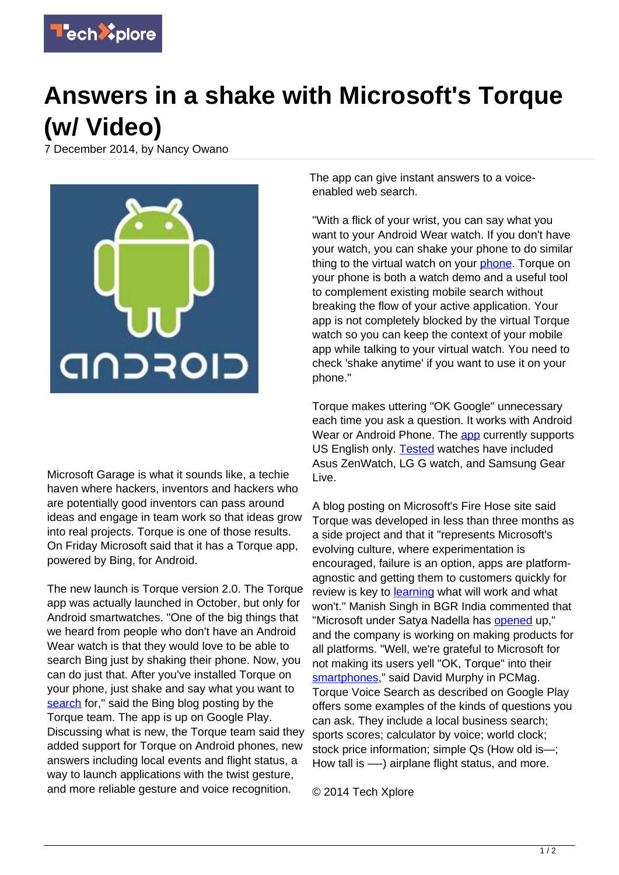

## **Answers in a shake with Microsoft's Torque (w/ Video)**

7 December 2014, by Nancy Owano



Microsoft Garage is what it sounds like, a techie haven where hackers, inventors and hackers who are potentially good inventors can pass around ideas and engage in team work so that ideas grow into real projects. Torque is one of those results. On Friday Microsoft said that it has a Torque app, powered by Bing, for Android.

The new launch is Torque version 2.0. The Torque app was actually launched in October, but only for Android smartwatches. "One of the big things that we heard from people who don't have an Android Wear watch is that they would love to be able to search Bing just by shaking their phone. Now, you can do just that. After you've installed Torque on your phone, just shake and say what you want to [search](http://blogs.bing.com/blog/2014/12/05/torque-2-0-adds-shake-to-search-on-android-phones-new-answers/) for," said the Bing blog posting by the Torque team. The app is up on Google Play. Discussing what is new, the Torque team said they added support for Torque on Android phones, new answers including local events and flight status, a way to launch applications with the twist gesture, and more reliable gesture and voice recognition.

The app can give instant answers to a voiceenabled web search.

"With a flick of your wrist, you can say what you want to your Android Wear watch. If you don't have your watch, you can shake your phone to do similar thing to the virtual watch on your [phone](https://play.google.com/store/apps/details?id=com.microsoft.bing.torque). Torque on your phone is both a watch demo and a useful tool to complement existing mobile search without breaking the flow of your active application. Your app is not completely blocked by the virtual Torque watch so you can keep the context of your mobile app while talking to your virtual watch. You need to check 'shake anytime' if you want to use it on your phone."

Torque makes uttering "OK Google" unnecessary each time you ask a question. It works with Android Wear or Android Phone. The [app](https://techxplore.com/tags/app/) currently supports US English only. **Tested** watches have included Asus ZenWatch, LG G watch, and Samsung Gear Live.

A blog posting on Microsoft's Fire Hose site said Torque was developed in less than three months as a side project and that it "represents Microsoft's evolving culture, where experimentation is encouraged, failure is an option, apps are platformagnostic and getting them to customers quickly for review is key to [learning](http://blogs.microsoft.com/firehose/2014/10/22/microsoft-garage-expands-to-include-exploration-creation-of-cross-platform-consumer-apps/) what will work and what won't." Manish Singh in BGR India commented that "Microsoft under Satya Nadella has [opened](http://www.bgr.in/news/microsoft-launches-an-ok-google-alternative-for-android-smartphones/) up," and the company is working on making products for all platforms. "Well, we're grateful to Microsoft for not making its users yell "OK, Torque" into their [smartphones](http://www.pcmag.com/article2/0,2817,2473217,00.asp)," said David Murphy in PCMag. Torque Voice Search as described on Google Play offers some examples of the kinds of questions you can ask. They include a local business search; sports scores; calculator by voice; world clock; stock price information; simple Qs (How old is—; How tall is —-) airplane flight status, and more.

© 2014 Tech Xplore